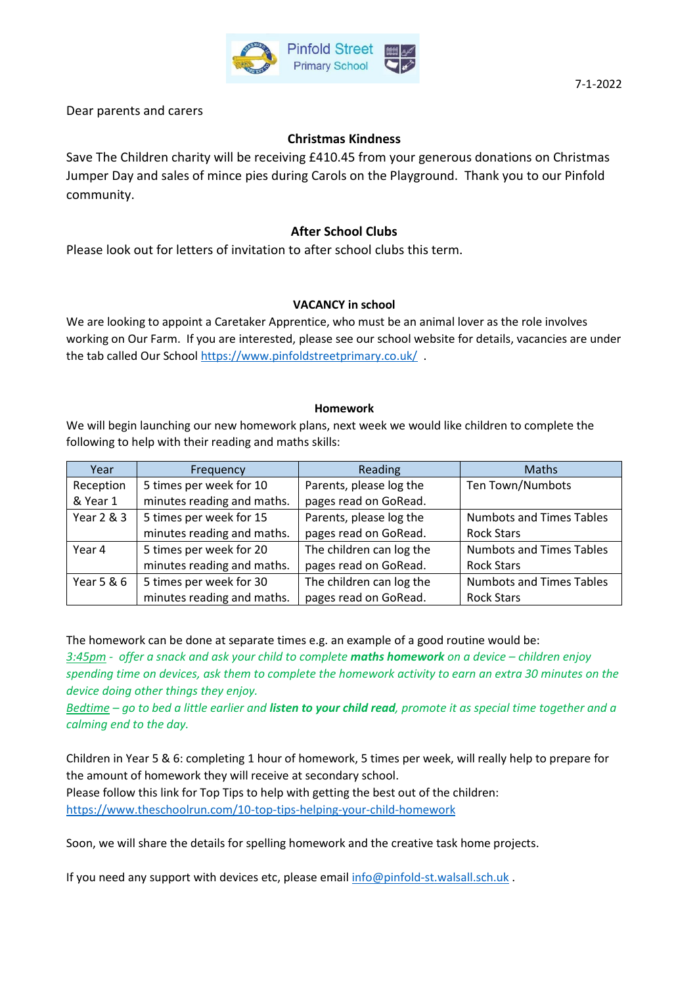

Dear parents and carers

## **Christmas Kindness**

Save The Children charity will be receiving £410.45 from your generous donations on Christmas Jumper Day and sales of mince pies during Carols on the Playground. Thank you to our Pinfold community.

## **After School Clubs**

Please look out for letters of invitation to after school clubs this term.

### **VACANCY in school**

We are looking to appoint a Caretaker Apprentice, who must be an animal lover as the role involves working on Our Farm. If you are interested, please see our school website for details, vacancies are under the tab called Our Schoo[l https://www.pinfoldstreetprimary.co.uk/](https://www.pinfoldstreetprimary.co.uk/) .

#### **Homework**

We will begin launching our new homework plans, next week we would like children to complete the following to help with their reading and maths skills:

| Year       | Frequency                  | Reading                  | <b>Maths</b>                    |
|------------|----------------------------|--------------------------|---------------------------------|
| Reception  | 5 times per week for 10    | Parents, please log the  | Ten Town/Numbots                |
| & Year 1   | minutes reading and maths. | pages read on GoRead.    |                                 |
| Year 2 & 3 | 5 times per week for 15    | Parents, please log the  | <b>Numbots and Times Tables</b> |
|            | minutes reading and maths. | pages read on GoRead.    | <b>Rock Stars</b>               |
| Year 4     | 5 times per week for 20    | The children can log the | <b>Numbots and Times Tables</b> |
|            | minutes reading and maths. | pages read on GoRead.    | <b>Rock Stars</b>               |
| Year 5 & 6 | 5 times per week for 30    | The children can log the | <b>Numbots and Times Tables</b> |
|            | minutes reading and maths. | pages read on GoRead.    | <b>Rock Stars</b>               |

The homework can be done at separate times e.g. an example of a good routine would be:

*3:45pm - offer a snack and ask your child to complete maths homework on a device – children enjoy spending time on devices, ask them to complete the homework activity to earn an extra 30 minutes on the device doing other things they enjoy.* 

*Bedtime – go to bed a little earlier and listen to your child read, promote it as special time together and a calming end to the day.*

Children in Year 5 & 6: completing 1 hour of homework, 5 times per week, will really help to prepare for the amount of homework they will receive at secondary school.

Please follow this link for Top Tips to help with getting the best out of the children:

<https://www.theschoolrun.com/10-top-tips-helping-your-child-homework>

Soon, we will share the details for spelling homework and the creative task home projects.

If you need any support with devices etc, please emai[l info@pinfold-st.walsall.sch.uk](mailto:info@pinfold-st.walsall.sch.uk) .